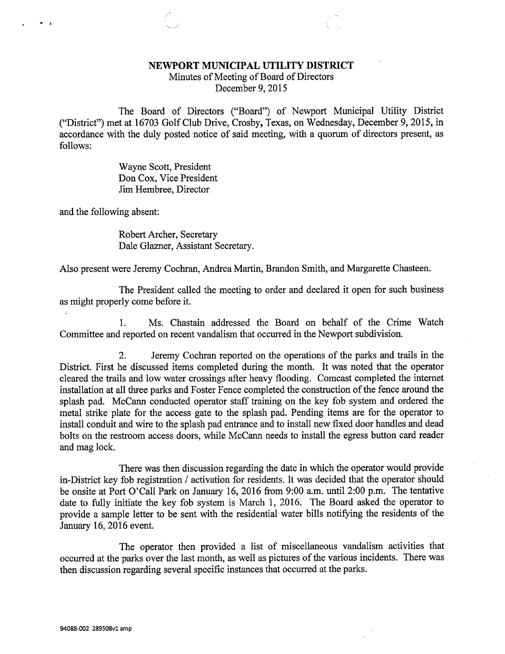## NEWPORT MUNICIPAL UTILITY DISTRICT

Minutes of Meeting of Board of Directors December 9, 2015

The Board of Directors ("Board") of Newport Municipal Utility District ("District") met at 16703 Golf Club Drive, Crosby, Texas, on Wednesday, December 9, 2015, in accordance with the duly posted notice of said meeting, with a quorum of directors present, as follows:

> Wayne Scott, President Don Cox, Vice President Jim Hembree, Director

and the following absent:

Robert Archer, Secretary Dale Glazner, Assistant Secretary.

Also present were Jeremy Cochran, Andrea Martin, Brandon Smith, and Margarette Chasteen.

The President called the meeting to order and declared it open for such business as might properly come before it.

1. Ms. Chastain addressed the Board on behalf of the Crime Watch Committee and reported on recent vandalism that occurred in the Newport subdivision.

2. Jeremy Cochran reported on the operations of the parks and trails in the District. First he discussed items completed during the month. It was noted that the operator cleared the trails and low water crossings after heavy flooding. Comcast completed the internet installation at all three parks and Foster Fence completed the construction of the fence around the splash pad. McCann conducted operator staff training on the key fob system and ordered the metal strike plate for the access gate to the splash pad. Pending items are for the operator to install conduit and wire to the splash pad entrance and to install new fixed door handles and dead bolts on the restroom access doors, while McCann needs to install the egress button card reader and mag lock.

There was then discussion regarding the date in which the operator would provide in-District key fob registration / activation for residents. It was decided that the operator should be onsite at Port O'Call Park on January 16, 2016 from 9:00 a.m. until 2:00 p.m. The tentative date to fully initiate the key fob system is March 1, 2016. The Board asked the operator to provide a sample letter to be sent with the residential water bills notifying the residents of the January 16, 2016 event.

The operator then provided a list of miscellaneous vandalism activities that occurred at the parks over the last month, as well as pictures of the various incidents. There was then discussion regarding several specific instances that occurred at the parks.